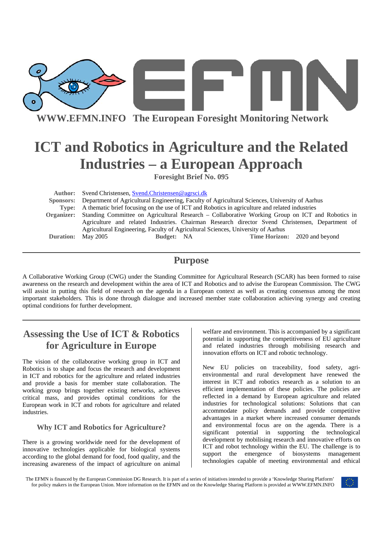

**WWW.EFMN.INFO The European Foresight Monitoring Network**

# **ICT and Robotics in Agriculture and the Related Industries – a European Approach**

**Foresight Brief No. 095** 

**Author:** Svend Christensen, Svend.Christensen@agrsci.dk  **Sponsors:** Department of Agricultural Engineering, Faculty of Agricultural Sciences, University of Aarhus **Type:** A thematic brief focusing on the use of ICT and Robotics in agriculture and related industries **Organizer:** Standing Committee on Agricultural Research – Collaborative Working Group on ICT and Robotics in Agriculture and related Industries. Chairman Research director Svend Christensen, Department of Agricultural Engineering, Faculty of Agricultural Sciences, University of Aarhus **Duration:** May 2005 **Budget:** NA **Time Horizon:** 2020 and beyond

## **Purpose**

A Collaborative Working Group (CWG) under the Standing Committee for Agricultural Research (SCAR) has been formed to raise awareness on the research and development within the area of ICT and Robotics and to advise the European Commission. The CWG will assist in putting this field of research on the agenda in a European context as well as creating consensus among the most important stakeholders. This is done through dialogue and increased member state collaboration achieving synergy and creating optimal conditions for further development.

## **Assessing the Use of ICT & Robotics for Agriculture in Europe**

The vision of the collaborative working group in ICT and Robotics is to shape and focus the research and development in ICT and robotics for the agriculture and related industries and provide a basis for member state collaboration. The working group brings together existing networks, achieves critical mass, and provides optimal conditions for the European work in ICT and robots for agriculture and related industries.

## **Why ICT and Robotics for Agriculture?**

There is a growing worldwide need for the development of innovative technologies applicable for biological systems according to the global demand for food, food quality, and the increasing awareness of the impact of agriculture on animal

welfare and environment. This is accompanied by a significant potential in supporting the competitiveness of EU agriculture and related industries through mobilising research and innovation efforts on ICT and robotic technology.

New EU policies on traceability, food safety, agrienvironmental and rural development have renewed the interest in ICT and robotics research as a solution to an efficient implementation of these policies. The policies are reflected in a demand by European agriculture and related industries for technological solutions: Solutions that can accommodate policy demands and provide competitive advantages in a market where increased consumer demands and environmental focus are on the agenda. There is a significant potential in supporting the technological development by mobilising research and innovative efforts on ICT and robot technology within the EU. The challenge is to support the emergence of biosystems management technologies capable of meeting environmental and ethical

The EFMN is financed by the European Commission DG Research. It is part of a series of initiatives intended to provide a 'Knowledge Sharing Platform' for policy makers in the European Union. More information on the EFMN and on the Knowledge Sharing Platform is provided at WWW.EFMN.INFO

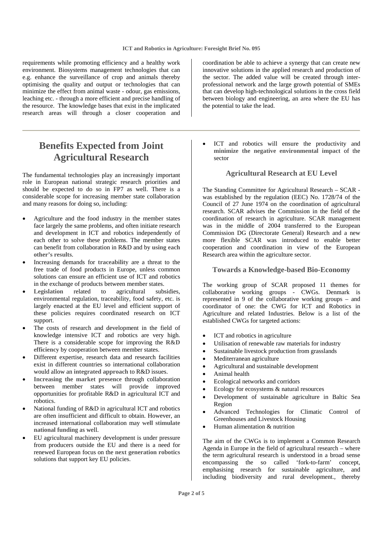requirements while promoting efficiency and a healthy work environment. Biosystems management technologies that can e.g. enhance the surveillance of crop and animals thereby optimising the quality and output or technologies that can minimize the effect from animal waste - odour, gas emissions, leaching etc. - through a more efficient and precise handling of the resource. The knowledge bases that exist in the implicated research areas will through a closer cooperation and

## **Benefits Expected from Joint Agricultural Research**

The fundamental technologies play an increasingly important role in European national strategic research priorities and should be expected to do so in FP7 as well. There is a considerable scope for increasing member state collaboration and many reasons for doing so, including:

- Agriculture and the food industry in the member states face largely the same problems, and often initiate research and development in ICT and robotics independently of each other to solve these problems. The member states can benefit from collaboration in R&D and by **using each other's results**.
- Increasing demands for **traceability** are a threat to the free trade of food products in Europe, unless common solutions can ensure an efficient use of ICT and robotics in the exchange of products between member states.
- **Legislation** related to agricultural subsidies, environmental regulation, traceability, food safety, etc. is largely enacted at the EU level and efficient support of these policies requires coordinated research on ICT support.
- The costs of research and development in the field of knowledge intensive ICT and robotics are very high. There is a considerable scope for improving the **R&D efficiency** by cooperation between member states.
- Different expertise, research data and research facilities exist in different countries so international collaboration would allow an **integrated approach** to R&D issues.
- **Increasing the market presence** through collaboration between member states will provide improved opportunities for profitable R&D in agricultural ICT and robotics.
- National funding of R&D in agricultural ICT and robotics are often insufficient and difficult to obtain. However, an increased international collaboration may **well stimulate national funding** as well.
- EU agricultural machinery development is under pressure from producers outside the EU and there is a need for renewed European focus on the **next generation robotics** solutions that support key EU policies.

coordination be able to achieve a synergy that can create new innovative solutions in the applied research and production of the sector. The added value will be created through interprofessional network and the large growth potential of SMEs that can develop high-technological solutions in the cross field between biology and engineering, an area where the EU has the potential to take the lead.

ICT and robotics will ensure the productivity and **minimize the negative environmental impact** of the sector

## **Agricultural Research at EU Level**

The Standing Committee for Agricultural Research – SCAR was established by the regulation (EEC) No. 1728/74 of the Council of 27 June 1974 on the coordination of agricultural research. SCAR advises the Commission in the field of the coordination of research in agriculture. SCAR management was in the middle of 2004 transferred to the European Commission DG (Directorate General) Research and a new more flexible SCAR was introduced to enable better cooperation and coordination in view of the European Research area within the agriculture sector.

#### **Towards a Knowledge-based Bio-Economy**

The working group of SCAR proposed 11 themes for collaborative working groups - CWGs. Denmark is represented in 9 of the collaborative working groups – and coordinator of one: the CWG for ICT and Robotics in Agriculture and related Industries. Below is a list of the established CWGs for targeted actions:

- ICT and robotics in agriculture
- Utilisation of renewable raw materials for industry
- Sustainable livestock production from grasslands
- Mediterranean agriculture
- Agricultural and sustainable development
- Animal health
- Ecological networks and corridors
- Ecology for ecosystems & natural resources
- Development of sustainable agriculture in Baltic Sea Region
- Advanced Technologies for Climatic Control of Greenhouses and Livestock Housing
- Human alimentation & nutrition

The aim of the CWGs is to implement a Common Research Agenda in Europe in the field of agricultural research – where the term agricultural research is understood in a broad sense encompassing the so called 'fork-to-farm' concept, emphasising research for sustainable agriculture, and including biodiversity and rural development., thereby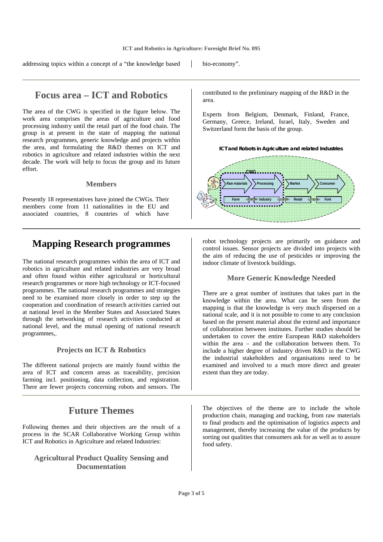addressing topics within a concept of a "the knowledge based bio-economy".

## **Focus area – ICT and Robotics**

The area of the CWG is specified in the figure below. The work area comprises the areas of agriculture and food processing industry until the retail part of the food chain. The group is at present in the state of mapping the national research programmes, generic knowledge and projects within the area, and formulating the R&D themes on ICT and robotics in agriculture and related industries within the next decade. The work will help to focus the group and its future effort.

### **Members**

Presently 18 representatives have joined the CWGs. Their members come from 11 nationalities in the EU and associated countries, 8 countries of which have

## **Mapping Research programmes**

The national research programmes within the area of ICT and robotics in agriculture and related industries are very broad and often found within either agricultural or horticultural research programmes or more high technology or ICT-focused programmes. The national research programmes and strategies need to be examined more closely in order to step up the cooperation and coordination of research activities carried out at national level in the Member States and Associated States through the networking of research activities conducted at national level, and the mutual opening of national research programmes,.

## **Projects on ICT & Robotics**

The different national projects are mainly found within the area of ICT and concern areas as traceability, precision farming incl. positioning, data collection, and registration. There are fewer projects concerning robots and sensors. The

## **Future Themes**

Following themes and their objectives are the result of a process in the SCAR Collaborative Working Group within ICT and Robotics in Agriculture and related Industries:

## **Agricultural Product Quality Sensing and Documentation**

contributed to the preliminary mapping of the R&D in the area.

Experts from Belgium, Denmark, Finland, France, Germany, Greece, Ireland, Israel, Italy, Sweden and Switzerland form the basis of the group.





robot technology projects are primarily on guidance and control issues. Sensor projects are divided into projects with the aim of reducing the use of pesticides or improving the indoor climate of livestock buildings.

## **More Generic Knowledge Needed**

There are a great number of institutes that takes part in the knowledge within the area. What can be seen from the mapping is that the knowledge is very much dispersed on a national scale, and it is not possible to come to any conclusion based on the present material about the extend and importance of collaboration between institutes. Further studies should be undertaken to cover the entire European R&D stakeholders within the area – and the collaboration between them. To include a higher degree of industry driven R&D in the CWG the industrial stakeholders and organisations need to be examined and involved to a much more direct and greater extent than they are today.

The objectives of the theme are to include the whole production chain, managing and tracking, from raw materials to final products and the optimisation of logistics aspects and management, thereby increasing the value of the products by sorting out qualities that consumers ask for as well as to assure food safety.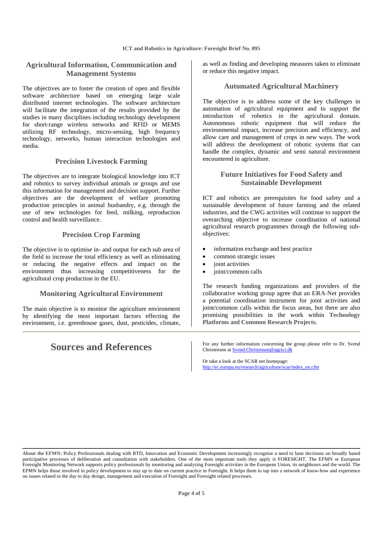## **Agricultural Information, Communication and Management Systems**

The objectives are to foster the creation of open and flexible software architecture based on emerging large scale distributed internet technologies. The software architecture will facilitate the integration of the results provided by the studies in many disciplines including technology development for short-range wireless networks and RFID or MEMS utilizing RF technology, micro-sensing, high frequency technology, networks, human interaction technologies and media.

#### **Precision Livestock Farming**

The objectives are to integrate biological knowledge into ICT and robotics to survey individual animals or groups and use this information for management and decision support. Further objectives are the development of welfare promoting production principles in animal husbandry, e.g. through the use of new technologies for feed, milking, reproduction control and health surveillance.

#### **Precision Crop Farming**

The objective is to optimise in- and output for each sub area of the field to increase the total efficiency as well as eliminating or reducing the negative effects and impact on the environment thus increasing competitiveness for the agricultural crop production in the EU.

#### **Monitoring Agricultural Environment**

The main objective is to monitor the agriculture environment by identifying the most important factors effecting the environment, i.e. greenhouse gases, dust, pesticides, climate,

as well as finding and developing measures taken to eliminate or reduce this negative impact.

### **Automated Agricultural Machinery**

The objective is to address some of the key challenges in automation of agricultural equipment and to support the introduction of robotics in the agricultural domain. Autonomous robotic equipment that will reduce the environmental impact, increase precision and efficiency, and allow care and management of crops in new ways. The work will address the development of robotic systems that can handle the complex, dynamic and semi natural environment encountered in agriculture.

## **Future Initiatives for Food Safety and Sustainable Development**

ICT and robotics are prerequisites for food safety and a sustainable development of future farming and the related industries, and the CWG activities will continue to support the overarching objective to increase coordination of national agricultural research programmes through the following subobjectives:

- information exchange and best practice
- common strategic issues
- ioint activities
- joint/common calls

The research funding organizations and providers of the collaborative working group agree that an **ERA-Net** provides a potential coordination instrument for joint activities and joint/common calls within the focus areas, but there are also promising possibilities in the work within **Technology Platforms** and **Common Research Projects**.

**Sources and References** For any further information concerning the group please refer to Dr. Svend Christensen at Svend.Christensen@agrsci.dk

> Or take a look at the SCAR net homepage: http://ec.europa.eu/research/agriculture/scar/index\_en.cfm

**About the EFMN:** Policy Professionals dealing with RTD, Innovation and Economic Development increasingly recognize a need to base decisions on broadly based participative processes of deliberation and consultation with stakeholders. One of the most important tools they apply is FORESIGHT. The EFMN or European Foresight Monitoring Network supports policy professionals by monitoring and analyzing Foresight activities in the European Union, its neighbours and the world. The EFMN helps those involved in policy development to stay up to date on current practice in Foresight. It helps them to tap into a network of know-how and experience on issues related to the day to day design, management and execution of Foresight and Foresight related processes.